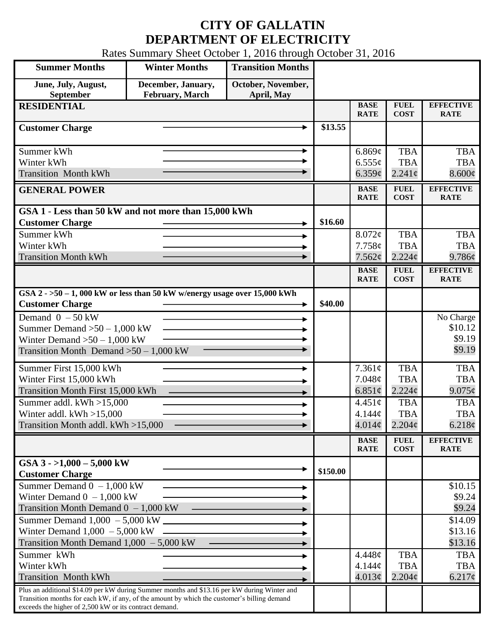## **CITY OF GALLATIN DEPARTMENT OF ELECTRICITY**

Rates Summary Sheet October 1, 2016 through October 31, 2016

| <b>Summer Months</b>                                                                                                                                                                                                                                 | <b>Winter Months</b>                          | <b>Transition Months</b>         |          |                                             |                                                |                                          |
|------------------------------------------------------------------------------------------------------------------------------------------------------------------------------------------------------------------------------------------------------|-----------------------------------------------|----------------------------------|----------|---------------------------------------------|------------------------------------------------|------------------------------------------|
| June, July, August,<br>September                                                                                                                                                                                                                     | December, January,<br><b>February</b> , March | October, November,<br>April, May |          |                                             |                                                |                                          |
| <b>RESIDENTIAL</b>                                                                                                                                                                                                                                   |                                               |                                  |          | <b>BASE</b><br><b>RATE</b>                  | <b>FUEL</b><br><b>COST</b>                     | <b>EFFECTIVE</b><br><b>RATE</b>          |
| <b>Customer Charge</b>                                                                                                                                                                                                                               |                                               |                                  | \$13.55  |                                             |                                                |                                          |
| Summer kWh<br>۰<br>Winter kWh<br><b>Transition Month kWh</b>                                                                                                                                                                                         |                                               |                                  |          | 6.869c<br>$6.555\sigma$<br>6.359¢           | <b>TBA</b><br><b>TBA</b><br>$2.241\sigma$      | <b>TBA</b><br><b>TBA</b><br>8.600¢       |
| <b>GENERAL POWER</b>                                                                                                                                                                                                                                 |                                               |                                  |          | <b>BASE</b><br><b>RATE</b>                  | <b>FUEL</b><br><b>COST</b>                     | <b>EFFECTIVE</b><br><b>RATE</b>          |
| GSA 1 - Less than 50 kW and not more than 15,000 kWh<br><b>Customer Charge</b>                                                                                                                                                                       |                                               |                                  | \$16.60  |                                             |                                                |                                          |
| Summer kWh<br>Winter kWh<br><b>Transition Month kWh</b>                                                                                                                                                                                              |                                               |                                  |          | 8.072¢<br>7.758c<br>7.562¢                  | <b>TBA</b><br><b>TBA</b><br>2.224c             | <b>TBA</b><br><b>TBA</b><br>9.786¢       |
|                                                                                                                                                                                                                                                      |                                               |                                  |          | <b>BASE</b><br><b>RATE</b>                  | <b>FUEL</b><br><b>COST</b>                     | <b>EFFECTIVE</b><br><b>RATE</b>          |
| GSA $2 - 50 - 1$ , 000 kW or less than 50 kW w/energy usage over 15,000 kWh<br><b>Customer Charge</b>                                                                                                                                                |                                               |                                  | \$40.00  |                                             |                                                |                                          |
| Demand $0 - 50$ kW<br>Summer Demand $>50 - 1,000$ kW<br>Winter Demand $>50-1,000$ kW<br>Transition Month Demand $>50-1,000$ kW                                                                                                                       |                                               |                                  |          |                                             |                                                | No Charge<br>\$10.12<br>\$9.19<br>\$9.19 |
| Summer First 15,000 kWh<br>Winter First 15,000 kWh<br>Transition Month First 15,000 kWh                                                                                                                                                              |                                               |                                  |          | 7.361¢<br>7.048¢<br>6.851 $\phi$            | <b>TBA</b><br><b>TBA</b><br>2.224c             | <b>TBA</b><br><b>TBA</b><br>$9.075\phi$  |
| Summer addl. kWh >15,000<br>Winter addl. $kWh > 15,000$<br>Transition Month addl. kWh >15,000                                                                                                                                                        |                                               |                                  |          | $4.451\phi$<br>4.144¢<br>$4.014\mathcal{C}$ | <b>TBA</b><br><b>TBA</b><br>$2.204\phi$        | <b>TBA</b><br><b>TBA</b><br>6.218¢       |
|                                                                                                                                                                                                                                                      |                                               |                                  |          | <b>BASE</b><br><b>RATE</b>                  | <b>FUEL</b><br><b>COST</b>                     | <b>EFFECTIVE</b><br><b>RATE</b>          |
| GSA $3 - 1,000 - 5,000$ kW<br><b>Customer Charge</b>                                                                                                                                                                                                 |                                               |                                  | \$150.00 |                                             |                                                |                                          |
| Summer Demand $0 - 1,000$ kW<br>Winter Demand $0 - 1,000$ kW<br>Transition Month Demand $0 - 1,000$ kW                                                                                                                                               |                                               |                                  |          |                                             |                                                | \$10.15<br>\$9.24<br>\$9.24              |
| Summer Demand 1,000 - 5,000 kW<br>Winter Demand $1,000 - 5,000$ kW<br>Transition Month Demand $1,000 - 5,000$ kW                                                                                                                                     |                                               |                                  |          |                                             |                                                | \$14.09<br>\$13.16<br>\$13.16            |
| Summer kWh<br>Winter kWh<br><b>Transition Month kWh</b>                                                                                                                                                                                              |                                               |                                  |          | 4.448¢<br>4.144¢<br>4.013¢                  | <b>TBA</b><br><b>TBA</b><br>$2.204\mathcal{C}$ | <b>TBA</b><br><b>TBA</b><br>$6.217\phi$  |
| Plus an additional \$14.09 per kW during Summer months and \$13.16 per kW during Winter and<br>Transition months for each kW, if any, of the amount by which the customer's billing demand<br>exceeds the higher of 2,500 kW or its contract demand. |                                               |                                  |          |                                             |                                                |                                          |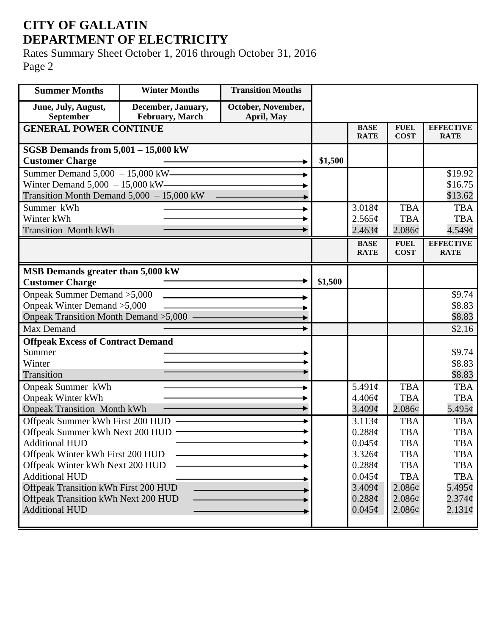## **CITY OF GALLATIN DEPARTMENT OF ELECTRICITY**

Rates Summary Sheet October 1, 2016 through October 31, 2016 Page 2

| <b>Summer Months</b>                        | <b>Winter Months</b> | <b>Transition Months</b> |         |                            |                            |                                 |
|---------------------------------------------|----------------------|--------------------------|---------|----------------------------|----------------------------|---------------------------------|
| June, July, August,                         | December, January,   | October, November,       |         |                            |                            |                                 |
| September                                   | February, March      | April, May               |         |                            |                            |                                 |
| <b>GENERAL POWER CONTINUE</b>               |                      |                          |         | <b>BASE</b><br><b>RATE</b> | <b>FUEL</b><br><b>COST</b> | <b>EFFECTIVE</b><br><b>RATE</b> |
| SGSB Demands from $5,001 - 15,000$ kW       |                      |                          |         |                            |                            |                                 |
| <b>Customer Charge</b>                      |                      |                          | \$1,500 |                            |                            |                                 |
| Summer Demand 5,000 - 15,000 kW             |                      |                          |         |                            |                            | \$19.92                         |
| Winter Demand $5,000 - 15,000$ kW-          |                      |                          |         |                            |                            | \$16.75                         |
| Transition Month Demand $5,000 - 15,000$ kW |                      |                          |         |                            |                            | \$13.62                         |
| Summer kWh                                  |                      |                          |         | 3.018¢                     | <b>TBA</b>                 | <b>TBA</b>                      |
| Winter kWh                                  |                      |                          |         | 2.565¢                     | <b>TBA</b>                 | <b>TBA</b>                      |
| <b>Transition Month kWh</b>                 |                      |                          |         | 2.463¢                     | 2.086¢                     | 4.549¢                          |
|                                             |                      |                          |         | <b>BASE</b>                | <b>FUEL</b>                | <b>EFFECTIVE</b>                |
|                                             |                      |                          |         | <b>RATE</b>                | <b>COST</b>                | <b>RATE</b>                     |
| MSB Demands greater than 5,000 kW           |                      |                          |         |                            |                            |                                 |
| <b>Customer Charge</b>                      |                      |                          | \$1,500 |                            |                            |                                 |
| Onpeak Summer Demand > 5,000                |                      |                          |         |                            |                            | \$9.74                          |
| Onpeak Winter Demand > 5,000                |                      |                          |         |                            |                            | \$8.83                          |
| Onpeak Transition Month Demand >5,000 -     |                      |                          |         |                            |                            | \$8.83                          |
| Max Demand                                  |                      |                          |         |                            |                            | \$2.16                          |
| <b>Offpeak Excess of Contract Demand</b>    |                      |                          |         |                            |                            |                                 |
| Summer                                      |                      |                          |         |                            |                            | \$9.74                          |
| Winter                                      |                      |                          |         |                            |                            | \$8.83                          |
| Transition                                  |                      |                          |         |                            |                            | \$8.83                          |
| Onpeak Summer kWh                           |                      |                          |         | 5.491 $\phi$               | <b>TBA</b>                 | <b>TBA</b>                      |
| <b>Onpeak Winter kWh</b>                    |                      |                          |         | 4.406¢                     | <b>TBA</b>                 | <b>TBA</b>                      |
| <b>Onpeak Transition Month kWh</b>          |                      |                          |         | $3.409\mathcal{C}$         | 2.086¢                     | $5.495\varphi$                  |
| Offpeak Summer kWh First 200 HUD            |                      |                          |         | 3.113¢                     | <b>TBA</b>                 | <b>TBA</b>                      |
| Offpeak Summer kWh Next 200 HUD             |                      |                          |         | 0.288¢                     | <b>TBA</b>                 | <b>TBA</b>                      |
| <b>Additional HUD</b>                       |                      |                          |         | $0.045\phi$                | <b>TBA</b>                 | <b>TBA</b>                      |
| Offpeak Winter kWh First 200 HUD            |                      |                          |         | 3.326¢                     | <b>TBA</b>                 | <b>TBA</b>                      |
| Offpeak Winter kWh Next 200 HUD             |                      |                          |         | 0.288¢                     | <b>TBA</b>                 | <b>TBA</b>                      |
| <b>Additional HUD</b>                       |                      |                          |         | $0.045\phi$                | <b>TBA</b>                 | <b>TBA</b>                      |
| Offpeak Transition kWh First 200 HUD        |                      |                          |         | 3.409¢                     | $2.086\phi$                | $5.495\phi$                     |
| Offpeak Transition kWh Next 200 HUD         |                      |                          |         | 0.288¢                     | 2.086¢                     | $2.374\phi$                     |
| <b>Additional HUD</b>                       |                      |                          |         | $0.045\phi$                | $2.086\phi$                | $2.131\phi$                     |
|                                             |                      |                          |         |                            |                            |                                 |